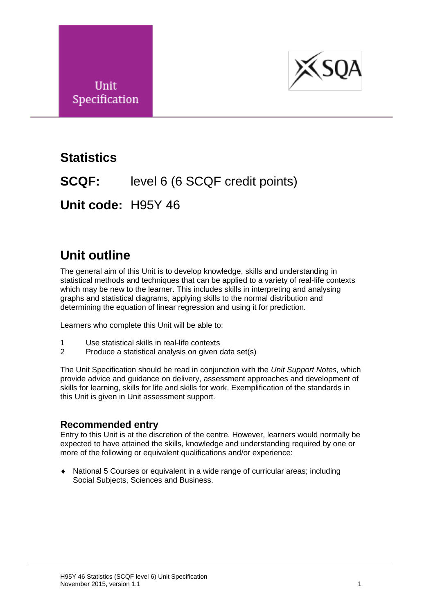



## **Statistics**

**SCQF:** level 6 (6 SCQF credit points)

**Unit code:** H95Y 46

## **Unit outline**

The general aim of this Unit is to develop knowledge, skills and understanding in statistical methods and techniques that can be applied to a variety of real-life contexts which may be new to the learner. This includes skills in interpreting and analysing graphs and statistical diagrams, applying skills to the normal distribution and determining the equation of linear regression and using it for prediction.

Learners who complete this Unit will be able to:

- 1 Use statistical skills in real-life contexts
- 2 Produce a statistical analysis on given data set(s)

The Unit Specification should be read in conjunction with the *Unit Support Notes,* which provide advice and guidance on delivery, assessment approaches and development of skills for learning, skills for life and skills for work. Exemplification of the standards in this Unit is given in Unit assessment support.

#### **Recommended entry**

Entry to this Unit is at the discretion of the centre. However, learners would normally be expected to have attained the skills, knowledge and understanding required by one or more of the following or equivalent qualifications and/or experience:

 National 5 Courses or equivalent in a wide range of curricular areas; including Social Subjects, Sciences and Business.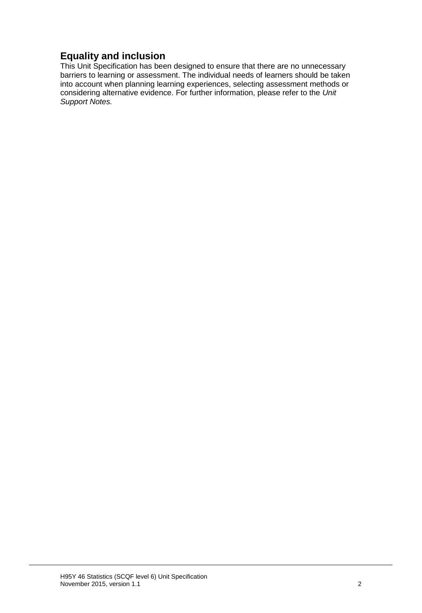### **Equality and inclusion**

This Unit Specification has been designed to ensure that there are no unnecessary barriers to learning or assessment. The individual needs of learners should be taken into account when planning learning experiences, selecting assessment methods or considering alternative evidence. For further information, please refer to the *Unit Support Notes.*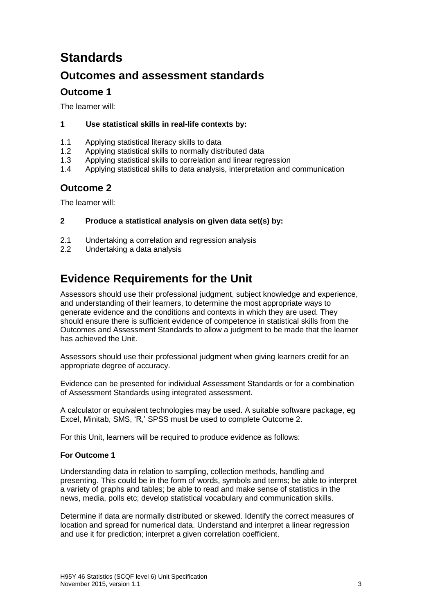# **Standards**

### **Outcomes and assessment standards**

### **Outcome 1**

The learner will:

#### **1 Use statistical skills in real-life contexts by:**

- 1.1 Applying statistical literacy skills to data
- 1.2 Applying statistical skills to normally distributed data
- 1.3 Applying statistical skills to correlation and linear regression
- 1.4 Applying statistical skills to data analysis, interpretation and communication

### **Outcome 2**

The learner will:

#### **2 Produce a statistical analysis on given data set(s) by:**

- 2.1 Undertaking a correlation and regression analysis
- 2.2 Undertaking a data analysis

## **Evidence Requirements for the Unit**

Assessors should use their professional judgment, subject knowledge and experience, and understanding of their learners, to determine the most appropriate ways to generate evidence and the conditions and contexts in which they are used. They should ensure there is sufficient evidence of competence in statistical skills from the Outcomes and Assessment Standards to allow a judgment to be made that the learner has achieved the Unit.

Assessors should use their professional judgment when giving learners credit for an appropriate degree of accuracy.

Evidence can be presented for individual Assessment Standards or for a combination of Assessment Standards using integrated assessment.

A calculator or equivalent technologies may be used. A suitable software package, eg Excel, Minitab, SMS, 'R,' SPSS must be used to complete Outcome 2.

For this Unit, learners will be required to produce evidence as follows:

#### **For Outcome 1**

Understanding data in relation to sampling, collection methods, handling and presenting. This could be in the form of words, symbols and terms; be able to interpret a variety of graphs and tables; be able to read and make sense of statistics in the news, media, polls etc; develop statistical vocabulary and communication skills.

Determine if data are normally distributed or skewed. Identify the correct measures of location and spread for numerical data. Understand and interpret a linear regression and use it for prediction; interpret a given correlation coefficient.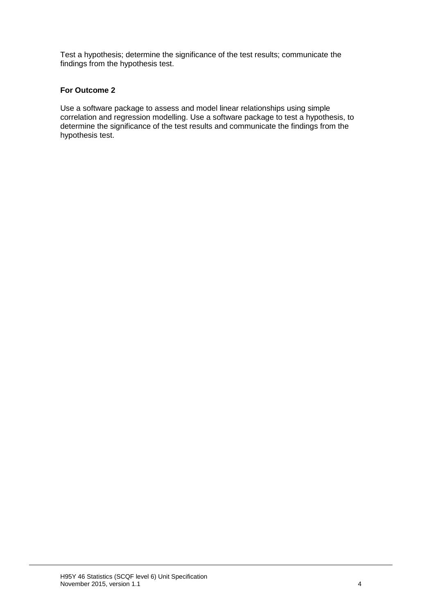Test a hypothesis; determine the significance of the test results; communicate the findings from the hypothesis test.

#### **For Outcome 2**

Use a software package to assess and model linear relationships using simple correlation and regression modelling. Use a software package to test a hypothesis, to determine the significance of the test results and communicate the findings from the hypothesis test.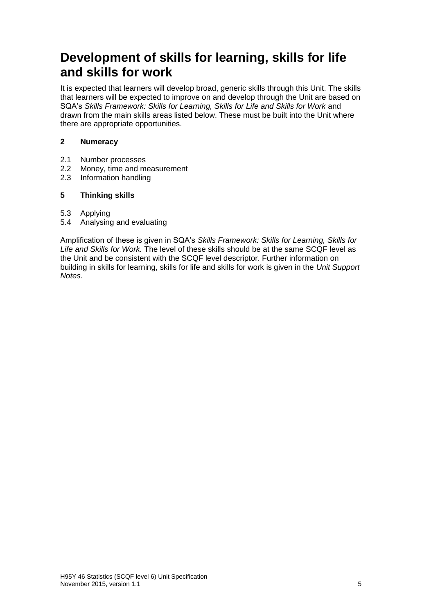## **Development of skills for learning, skills for life and skills for work**

It is expected that learners will develop broad, generic skills through this Unit. The skills that learners will be expected to improve on and develop through the Unit are based on SQA's *Skills Framework: Skills for Learning, Skills for Life and Skills for Work* and drawn from the main skills areas listed below. These must be built into the Unit where there are appropriate opportunities.

#### **2 Numeracy**

- 2.1 Number processes
- 2.2 Money, time and measurement
- 2.3 Information handling

#### **5 Thinking skills**

- 5.3 Applying
- 5.4 Analysing and evaluating

Amplification of these is given in SQA's *Skills Framework: Skills for Learning, Skills for Life and Skills for Work.* The level of these skills should be at the same SCQF level as the Unit and be consistent with the SCQF level descriptor. Further information on building in skills for learning, skills for life and skills for work is given in the *Unit Support Notes*.